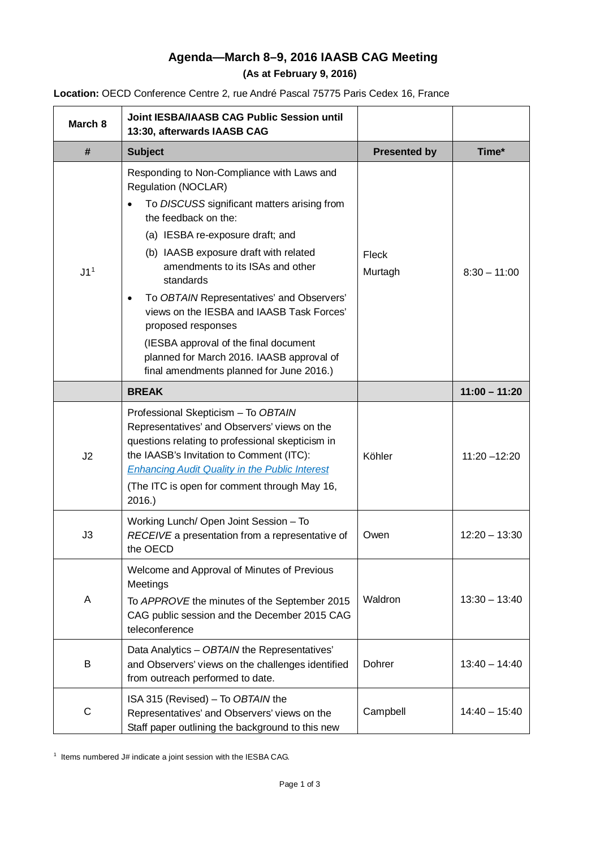# **Agenda—March 8–9, 2016 IAASB CAG Meeting (As at February 9, 2016)**

|  |  | Location: OECD Conference Centre 2, rue André Pascal 75775 Paris Cedex 16, France |
|--|--|-----------------------------------------------------------------------------------|
|--|--|-----------------------------------------------------------------------------------|

| March 8         | <b>Joint IESBA/IAASB CAG Public Session until</b><br>13:30, afterwards IAASB CAG                                                                                                                                                                                                                                                                                                                                                                                                                                                |                     |                 |
|-----------------|---------------------------------------------------------------------------------------------------------------------------------------------------------------------------------------------------------------------------------------------------------------------------------------------------------------------------------------------------------------------------------------------------------------------------------------------------------------------------------------------------------------------------------|---------------------|-----------------|
| #               | <b>Subject</b>                                                                                                                                                                                                                                                                                                                                                                                                                                                                                                                  | <b>Presented by</b> | Time*           |
| J1 <sup>1</sup> | Responding to Non-Compliance with Laws and<br><b>Regulation (NOCLAR)</b><br>To DISCUSS significant matters arising from<br>the feedback on the:<br>(a) IESBA re-exposure draft; and<br>(b) IAASB exposure draft with related<br>amendments to its ISAs and other<br>standards<br>To OBTAIN Representatives' and Observers'<br>views on the IESBA and IAASB Task Forces'<br>proposed responses<br>(IESBA approval of the final document<br>planned for March 2016. IAASB approval of<br>final amendments planned for June 2016.) | Fleck<br>Murtagh    | $8:30 - 11:00$  |
|                 | <b>BREAK</b>                                                                                                                                                                                                                                                                                                                                                                                                                                                                                                                    |                     | $11:00 - 11:20$ |
| J2              | Professional Skepticism - To OBTAIN<br>Representatives' and Observers' views on the<br>questions relating to professional skepticism in<br>the IAASB's Invitation to Comment (ITC):<br><b>Enhancing Audit Quality in the Public Interest</b><br>(The ITC is open for comment through May 16,<br>2016.                                                                                                                                                                                                                           | Köhler              | $11:20 - 12:20$ |
| J3              | Working Lunch/ Open Joint Session - To<br>RECEIVE a presentation from a representative of<br>the OECD                                                                                                                                                                                                                                                                                                                                                                                                                           | Owen                | $12:20 - 13:30$ |
| A               | Welcome and Approval of Minutes of Previous<br>Meetings<br>To APPROVE the minutes of the September 2015<br>CAG public session and the December 2015 CAG<br>teleconference                                                                                                                                                                                                                                                                                                                                                       | Waldron             | $13:30 - 13:40$ |
| B               | Data Analytics - OBTAIN the Representatives'<br>and Observers' views on the challenges identified<br>from outreach performed to date.                                                                                                                                                                                                                                                                                                                                                                                           | Dohrer              | $13:40 - 14:40$ |
| $\mathsf C$     | ISA 315 (Revised) - To OBTAIN the<br>Representatives' and Observers' views on the<br>Staff paper outlining the background to this new                                                                                                                                                                                                                                                                                                                                                                                           | Campbell            | $14:40 - 15:40$ |

<span id="page-0-0"></span><sup>1</sup> Items numbered J# indicate a joint session with the IESBA CAG.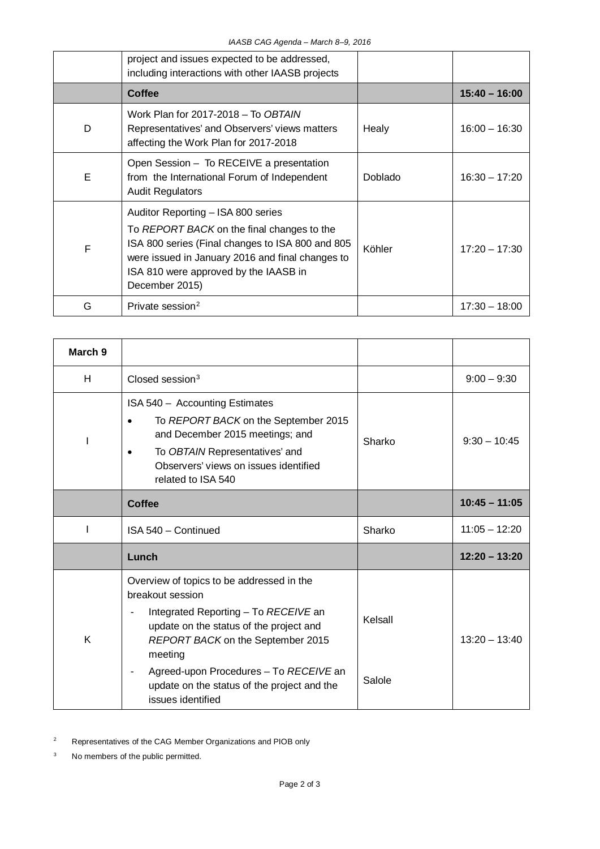|   | project and issues expected to be addressed,<br>including interactions with other IAASB projects                                                                                                                                                    |         |                 |
|---|-----------------------------------------------------------------------------------------------------------------------------------------------------------------------------------------------------------------------------------------------------|---------|-----------------|
|   | Coffee                                                                                                                                                                                                                                              |         | $15:40 - 16:00$ |
| D | Work Plan for 2017-2018 - To OBTAIN<br>Representatives' and Observers' views matters<br>affecting the Work Plan for 2017-2018                                                                                                                       | Healy   | $16:00 - 16:30$ |
| E | Open Session - To RECEIVE a presentation<br>from the International Forum of Independent<br><b>Audit Regulators</b>                                                                                                                                  | Doblado | $16:30 - 17:20$ |
| F | Auditor Reporting - ISA 800 series<br>To REPORT BACK on the final changes to the<br>ISA 800 series (Final changes to ISA 800 and 805<br>were issued in January 2016 and final changes to<br>ISA 810 were approved by the IAASB in<br>December 2015) | Köhler  | $17:20 - 17:30$ |
| G | Private session <sup>2</sup>                                                                                                                                                                                                                        |         | $17:30 - 18:00$ |

| March 9 |                                                                                                                                                                                                                                                                                                                |                   |                 |
|---------|----------------------------------------------------------------------------------------------------------------------------------------------------------------------------------------------------------------------------------------------------------------------------------------------------------------|-------------------|-----------------|
| H       | Closed session <sup>3</sup>                                                                                                                                                                                                                                                                                    |                   | $9:00 - 9:30$   |
|         | ISA 540 - Accounting Estimates<br>To REPORT BACK on the September 2015<br>$\bullet$<br>and December 2015 meetings; and<br>To OBTAIN Representatives' and<br>$\bullet$<br>Observers' views on issues identified<br>related to ISA 540                                                                           | Sharko            | $9:30 - 10:45$  |
|         | <b>Coffee</b>                                                                                                                                                                                                                                                                                                  |                   | $10:45 - 11:05$ |
|         | ISA 540 - Continued                                                                                                                                                                                                                                                                                            | Sharko            | $11:05 - 12:20$ |
|         | Lunch                                                                                                                                                                                                                                                                                                          |                   | $12:20 - 13:20$ |
| K       | Overview of topics to be addressed in the<br>breakout session<br>Integrated Reporting - To RECEIVE an<br>update on the status of the project and<br>REPORT BACK on the September 2015<br>meeting<br>Agreed-upon Procedures - To RECEIVE an<br>update on the status of the project and the<br>issues identified | Kelsall<br>Salole | $13:20 - 13:40$ |

<span id="page-1-0"></span><sup>2</sup> Representatives of the CAG Member Organizations and PIOB only

<span id="page-1-1"></span><sup>3</sup> No members of the public permitted.